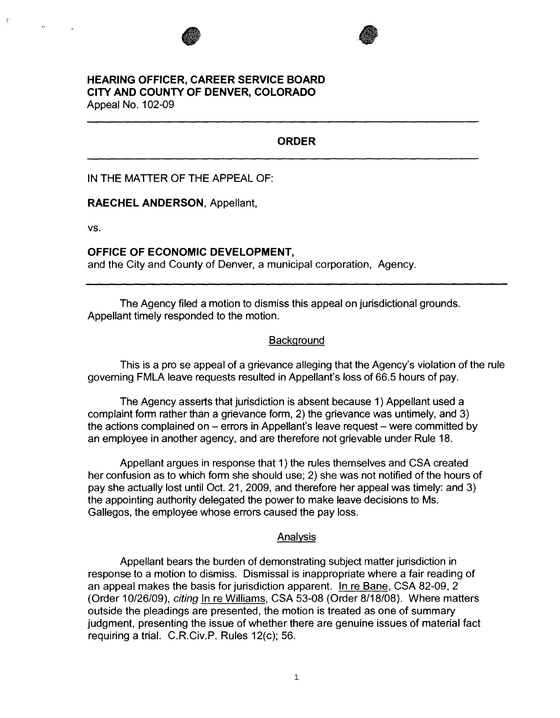



## **HEARING OFFICER, CAREER SERVICE BOARD CITY AND COUNTY OF DENVER, COLORADO**  Appeal No. 102-09

# **ORDER**

IN THE MATTER OF THE APPEAL OF:

**RAECHEL ANDERSON,** Appellant,

**vs.** 

### **OFFICE OF ECONOMIC DEVELOPMENT,**

and the City and County of Denver, a municipal corporation, Agency.

The Agency filed a motion to dismiss this appeal on jurisdictional grounds. Appellant timely responded to the motion.

### **Background**

This is a pro se appeal of a grievance alleging that the Agency's violation of the rule governing FMLA leave requests resulted in Appellant's loss of 66.5 hours of pay.

The Agency asserts that jurisdiction is absent because 1) Appellant used a complaint form rather than a grievance form, 2) the grievance was untimely, and 3) the actions complained on  $-$  errors in Appellant's leave request  $-$  were committed by an employee in another agency, and are therefore not grievable under Rule 18.

Appellant argues in response that 1 ) the rules themselves and CSA created her confusion as to which form she should use; 2) she was not notified of the hours of pay she actually lost until Oct. 21, 2009, and therefore her appeal was timely: and 3) the appointing authority delegated the power to make leave decisions to Ms. Gallegos, the employee whose errors caused the pay loss.

## Analysis

Appellant bears the burden of demonstrating subject matter jurisdiction in response to a motion to dismiss. Dismissal is inappropriate where a fair reading of an appeal makes the basis for jurisdiction apparent. In re Bane, CSA 82-09, 2 (Order 10/26/09), citing In re Williams, CSA 53-08 (Order 8/18/08). Where matters outside the pleadings are presented, the motion is treated as one of summary judgment, presenting the issue of whether there are genuine issues of material fact requiring a trial. C.R.Civ.P. Rules 12(c); 56.